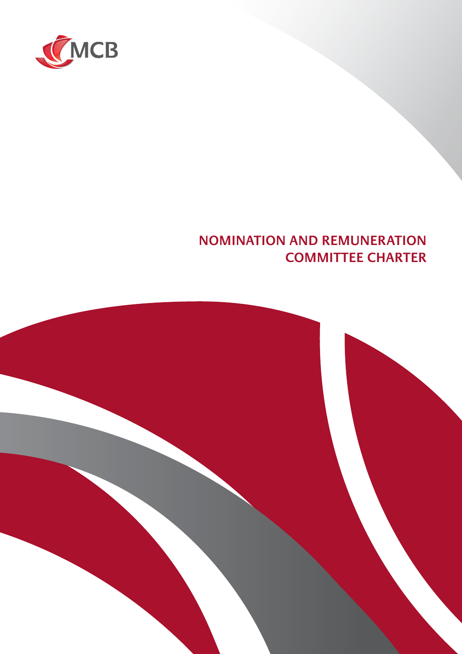

## **NOMINATION AND REMUNERATION COMMITTEE CHARTER**

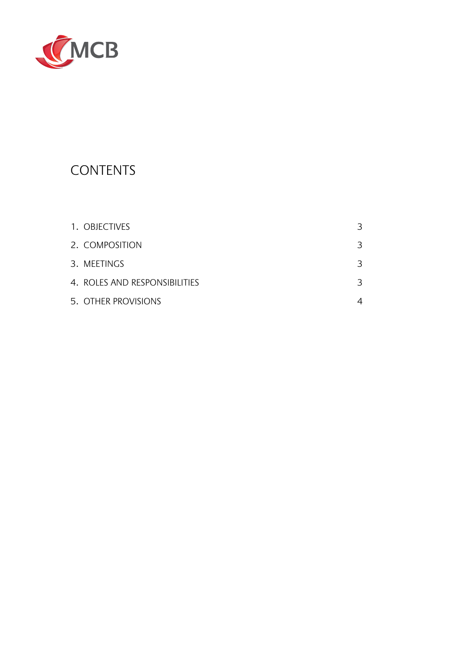

# **CONTENTS**

| 1. OBJECTIVES                 | 3 |
|-------------------------------|---|
| 2. COMPOSITION                | 3 |
| 3. MEETINGS                   | 3 |
| 4. ROLES AND RESPONSIBILITIES | 3 |
| 5. OTHER PROVISIONS           |   |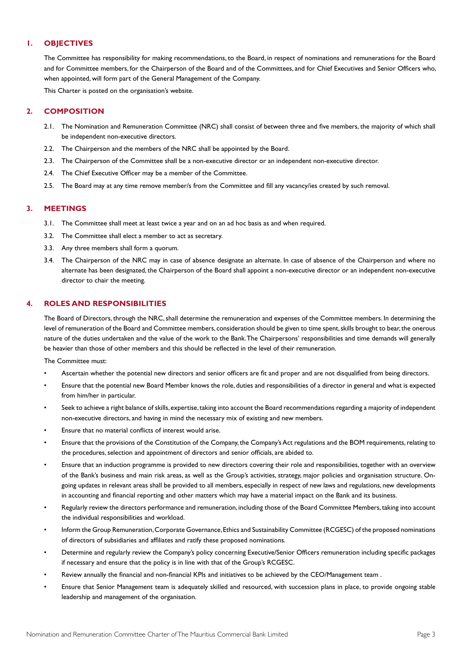## **1. OBJECTIVES**

The Committee has responsibility for making recommendations, to the Board, in respect of nominations and remunerations for the Board and for Committee members, for the Chairperson of the Board and of the Committees, and for Chief Executives and Senior Officers who, when appointed, will form part of the General Management of the Company.

This Charter is posted on the organisation's website.

## **2. COMPOSITION**

- 2.1. The Nomination and Remuneration Committee (NRC) shall consist of between three and five members, the majority of which shall be independent non-executive directors.
- 2.2. The Chairperson and the members of the NRC shall be appointed by the Board.
- 2.3. The Chairperson of the Committee shall be a non-executive director or an independent non-executive director.
- 2.4. The Chief Executive Officer may be a member of the Committee.
- 2.5. The Board may at any time remove member/s from the Committee and fill any vacancy/ies created by such removal.

## **3. MEETINGS**

- 3.1. The Committee shall meet at least twice a year and on an ad hoc basis as and when required.
- 3.2. The Committee shall elect a member to act as secretary.
- 3.3. Any three members shall form a quorum.
- 3.4. The Chairperson of the NRC may in case of absence designate an alternate. In case of absence of the Chairperson and where no alternate has been designated, the Chairperson of the Board shall appoint a non-executive director or an independent non-executive director to chair the meeting.

## **4. ROLES AND RESPONSIBILITIES**

The Board of Directors, through the NRC, shall determine the remuneration and expenses of the Committee members. In determining the level of remuneration of the Board and Committee members, consideration should be given to time spent, skills brought to bear, the onerous nature of the duties undertaken and the value of the work to the Bank. The Chairpersons' responsibilities and time demands will generally be heavier than those of other members and this should be reflected in the level of their remuneration.

The Committee must:

- Ascertain whether the potential new directors and senior officers are fit and proper and are not disqualified from being directors.
- Ensure that the potential new Board Member knows the role, duties and responsibilities of a director in general and what is expected from him/her in particular.
- Seek to achieve a right balance of skills, expertise, taking into account the Board recommendations regarding a majority of independent non-executive directors, and having in mind the necessary mix of existing and new members.
- Ensure that no material conflicts of interest would arise.
- Ensure that the provisions of the Constitution of the Company, the Company's Act regulations and the BOM requirements, relating to the procedures, selection and appointment of directors and senior officials, are abided to.
- Ensure that an induction programme is provided to new directors covering their role and responsibilities, together with an overview of the Bank's business and main risk areas, as well as the Group's activities, strategy, major policies and organisation structure. Ongoing updates in relevant areas shall be provided to all members, especially in respect of new laws and regulations, new developments in accounting and financial reporting and other matters which may have a material impact on the Bank and its business.
- Regularly review the directors performance and remuneration, including those of the Board Committee Members, taking into account the individual responsibilities and workload.
- Inform the Group Remuneration, Corporate Governance, Ethics and Sustainability Committee (RCGESC) of the proposed nominations of directors of subsidiaries and affiliates and ratify these proposed nominations.
- Determine and regularly review the Company's policy concerning Executive/Senior Officers remuneration including specific packages if necessary and ensure that the policy is in line with that of the Group's RCGESC.
- Review annually the financial and non-financial KPIs and initiatives to be achieved by the CEO/Management team .
- Ensure that Senior Management team is adequately skilled and resourced, with succession plans in place, to provide ongoing stable leadership and management of the organisation.